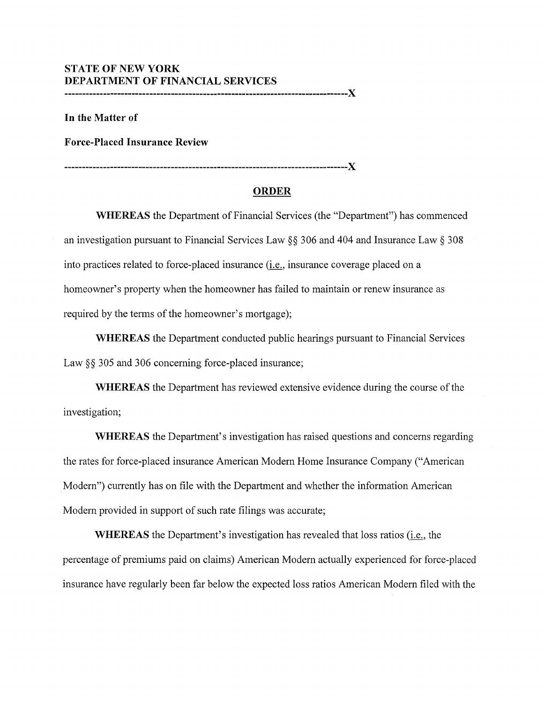## **STATE OF NEW YORK DEPARTMENT OF FINANCIAL SERVICES**

**--------------------------------------------------------------------------------X** 

**In the Matter of** 

**Force-Placed Insurance Review** 

**--------------------------------------------------------------------------------X** 

## **ORDER**

**WHEREAS** the Department of Financial Services (the "Department") has commenced an investigation pursuant to Financial Services Law§§ 306 and 404 and Insurance Law§ 308 into practices related to force-placed insurance (i.e., insurance coverage placed on a homeowner's property when the homeowner has failed to maintain or renew insurance as required by the terms of the homeowner's mortgage);

**WHEREAS** the Department conducted public hearings pursuant to Financial Services Law §§ 305 and 306 concerning force-placed insurance;

**WHEREAS** the Department has reviewed extensive evidence during the course of the investigation;

**WHEREAS** the Department's investigation has raised questions and concerns regarding the rates for force-placed insurance American Modern Home Insurance Company ("American Modern") currently has on file with the Department and whether the information American Modern provided in support of such rate filings was accurate;

**WHEREAS** the Department's investigation has revealed that loss ratios (i.e., the percentage of premiums paid on claims) American Modern actually experienced for force-placed insurance have regularly been far below the expected loss ratios American Modern filed with the